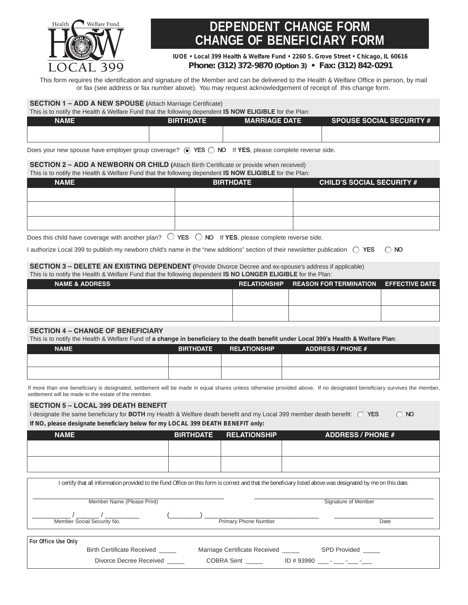

# **DEPENDENT CHANGE FORM CHANGE OF BENEFICIARY FORM**

**IUOE • Local 399 Health & Welfare Fund • 2260 S. Grove Street • Chicago, IL 60616**

### **Phone: (312) 372-9870** *(Option 3)* **• Fax: (312) 842-0291**

This form requires the identification and signature of the Member and can be delivered to the Health & Welfare Office in person, by mail or fax (see address or fax number above). You may request acknowledgement of receipt of this change form.

#### **SECTION 1 – ADD A NEW SPOUSE (**Attach Marriage Certificate)

| This is to notify the Health & Welfare Fund that the following dependent <b>IS NOW ELIGIBLE</b> for the Plan: |                  |                      |                                 |
|---------------------------------------------------------------------------------------------------------------|------------------|----------------------|---------------------------------|
| <b>NAME</b>                                                                                                   | <b>BIRTHDATE</b> | <b>MARRIAGE DATE</b> | <b>SPOUSE SOCIAL SECURITY #</b> |
|                                                                                                               |                  |                      |                                 |
|                                                                                                               |                  |                      |                                 |

Does your new spouse have employer group coverage?  $\odot$  YES  $\bigcirc$  NO If YES, please complete reverse side.

**SECTION 2 – ADD A NEWBORN OR CHILD (**Attach Birth Certificate or provide when received)

This is to notify the Health & Welfare Fund that the following dependent **IS NOW ELIGIBLE** for the Plan:

| <b>NAME</b> | <b>BIRTHDATE</b> | <b>CHILD'S SOCIAL SECURITY #</b> |
|-------------|------------------|----------------------------------|
|             |                  |                                  |
|             |                  |                                  |
|             |                  |                                  |
|             |                  |                                  |

Does this child have coverage with another plan?  $\bigcirc$  **YES**  $\bigcirc$  **NO** If **YES**, please complete reverse side.

I authorize Local 399 to publish my newborn child's name in the "new additions" section of their newsletter publication r **YES** r **NO** 

#### **SECTION 3 – DELETE AN EXISTING DEPENDENT (**Provide Divorce Decree and ex-spouse's address if applicable) This is to notify the Health & Welfare Fund that the following dependent **IS NO LONGER ELIGIBLE** for the Plan:

| This is to notify the Fieath & Wellard Fund that the lollowing dependent <b>13 NO LONGER ELIGIBLE</b> for the Fiah. |  |                                                    |  |
|---------------------------------------------------------------------------------------------------------------------|--|----------------------------------------------------|--|
| <b>NAME &amp; ADDRESS</b>                                                                                           |  | RELATIONSHIP REASON FOR TERMINATION EFFECTIVE DATE |  |
|                                                                                                                     |  |                                                    |  |
|                                                                                                                     |  |                                                    |  |
|                                                                                                                     |  |                                                    |  |
|                                                                                                                     |  |                                                    |  |

### **SECTION 4 – CHANGE OF BENEFICIARY**

This is to notify the Health & Welfare Fund of **a change in beneficiary to the death benefit under Local 399's Health & Welfare Plan**:

| <b>NAME</b> | <b>BIRTHDATE</b> | <b>RELATIONSHIP</b> | <b>ADDRESS / PHONE #</b> |
|-------------|------------------|---------------------|--------------------------|
|             |                  |                     |                          |
|             |                  |                     |                          |

If more than one beneficiary is designated, settlement will be made in equal shares unless otherwise provided above. If no designated beneficiary survives the member, settlement will be made to the estate of the member.

#### **SECTION 5 – LOCAL 399 DEATH BENEFIT**

| I designate the same beneficiary for <b>BOTH</b> my Health & Welfare death benefit and my Local 399 member death benefit: $\bigcirc$ YES | $\bigcirc$ NO |
|------------------------------------------------------------------------------------------------------------------------------------------|---------------|
| If NO, please designate beneficiary below for my LOCAL 399 DEATH BENEFIT only:                                                           |               |

| <b>NAME</b> | <b>BIRTHDATE</b> | <b>RELATIONSHIP</b> | <b>ADDRESS / PHONE #</b> |
|-------------|------------------|---------------------|--------------------------|
|             |                  |                     |                          |
|             |                  |                     |                          |
|             |                  |                     |                          |

|                     |                                   |                               | I certify that all information provided to the Fund Office on this form is correct and that the beneficiary listed above was designated by me on this date. |
|---------------------|-----------------------------------|-------------------------------|-------------------------------------------------------------------------------------------------------------------------------------------------------------|
|                     | Member Name (Please Print)        |                               | Signature of Member                                                                                                                                         |
|                     | Member Social Security No.        | <b>Primary Phone Number</b>   | Date                                                                                                                                                        |
| For Office Use Only | <b>Birth Certificate Received</b> | Marriage Certificate Received | <b>SPD Provided</b>                                                                                                                                         |

Divorce Decree Received \_\_\_\_\_ COBRA Sent \_\_\_\_\_ ID # 93990 \_\_\_ -\_\_\_ -\_\_ -\_\_